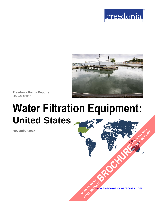



**Freedonia Focus Reports** US Collection

# **Water Filtration Equipment: United States**

**November 2017**

**www.freedoniafocusreports.com** CLICK TO ORDER **FULL REPORT** 

**[BROCHURE](https://www.freedoniafocusreports.com/Water-Filtration-Equipment-United-States-FF70037/?progid=89541) CLICK TO ORDER** 

**FULL REPORT**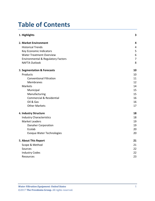## **Table of Contents**

| 1. Highlights                                 | 3              |
|-----------------------------------------------|----------------|
| 2. Market Environment                         | 4              |
| <b>Historical Trends</b>                      | 4              |
| Key Economic Indicators                       | 5              |
| <b>Water Treatment Overview</b>               | 6              |
| <b>Environmental &amp; Regulatory Factors</b> | $\overline{7}$ |
| <b>NAFTA Outlook</b>                          | 8              |
| 3. Segmentation & Forecasts                   | 10             |
| Products                                      | 10             |
| <b>Conventional Filtration</b>                | 11             |
| <b>Membranes</b>                              | 12             |
| <b>Markets</b>                                | 14             |
| Municipal                                     | 15             |
| Manufacturing                                 | 15             |
| <b>Commercial &amp; Residential</b>           | 16             |
| Oil & Gas                                     | 16             |
| <b>Other Markets</b>                          | 17             |
| 4. Industry Structure                         | 18             |
| <b>Industry Characteristics</b>               | 18             |
| <b>Market Leaders</b>                         | 19             |
| <b>Danaher Corporation</b>                    | 19             |
| Ecolab                                        | 20             |
| Evoqua Water Technologies                     | 20             |
| 5. About This Report                          | 21             |
| Scope & Method                                | 21             |
| Sources                                       | 22             |
| <b>Industry Codes</b>                         | 22             |
| <b>Resources</b>                              | 23             |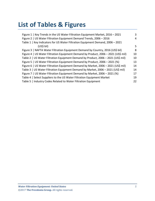## **List of Tables & Figures**

| Figure 1   Key Trends in the US Water Filtration Equipment Market, 2016 - 2021     | 3  |
|------------------------------------------------------------------------------------|----|
| Figure 2   US Water Filtration Equipment Demand Trends, 2006 - 2016                | 4  |
| Table 1   Key Indicators for US Water Filtration Equipment Demand, 2006 - 2021     |    |
| $(US5)$ bil)                                                                       | 5  |
| Figure 3   NAFTA Water Filtration Equipment Demand by Country, 2016 (US\$ bil)     | 8  |
| Figure 4   US Water Filtration Equipment Demand by Product, 2006 - 2021 (US\$ mil) | 10 |
| Table 2   US Water Filtration Equipment Demand by Product, 2006 - 2021 (US\$ mil)  | 10 |
| Figure 5   US Water Filtration Equipment Demand by Product, 2006 - 2021 (%)        | 13 |
| Figure 6   US Water Filtration Equipment Demand by Market, 2006 - 2021 (US\$ mil)  | 14 |
| Table 3   US Water Filtration Equipment Demand by Market, 2006 - 2021 (US\$ mil)   | 14 |
| Figure 7   US Water Filtration Equipment Demand by Market, 2006 - 2021 (%)         | 17 |
| Table 4   Select Suppliers to the US Water Filtration Equipment Market             | 19 |
| Table 5   Industry Codes Related to Water Filtration Equipment                     | 22 |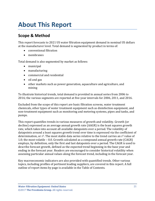## <span id="page-3-0"></span>**About This Report**

## <span id="page-3-1"></span>**Scope & Method**

This report forecasts to 2021 US water filtration equipment demand in nominal US dollars at the manufacturer level. Total demand is segmented by product in terms of:

- conventional filtration
- membranes

Total demand is also segmented by market as follows:

- municipal
- manufacturing
- commercial and residential
- oil and gas
- other markets such as power generation, aquaculture and agriculture, and mining

To illustrate historical trends, total demand is provided in annual series from 2006 to 2016; the various segments are reported at five-year intervals for 2006, 2011, and 2016.

Excluded from the scope of this report are basic filtration screens, water treatment chemicals, other types of water treatment equipment such as disinfection equipment, and non-treatment equipment such as monitoring and metering systems, pipes and tanks, and pumps.

This report quantifies trends in various measures of growth and volatility. Growth (or decline) expressed as an average annual growth rate (AAGR) is the least squares growth rate, which takes into account all available datapoints over a period. The volatility of datapoints around a least squares growth trend over time is expressed via the coefficient of determination, or  $r^2$ . The most stable data series relative to the trend carries an  $r^2$  value of 1.0; the most volatile – 0.0. Growth calculated as a compound annual growth rate (CAGR) employs, by definition, only the first and last datapoints over a period. The CAGR is used to describe forecast growth, defined as the expected trend beginning in the base year and ending in the forecast year. Readers are encouraged to consider historical volatility when assessing particular annual values along the forecast trend, including in the forecast year.

Key macroeconomic indicators are also provided with quantified trends. Other various topics, including profiles of pertinent leading suppliers, are covered in this report. A full outline of report items by page is available in the Table of Contents.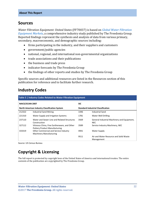### <span id="page-4-0"></span>**Sources**

*Water Filtration Equipment: United States* (FF70037) is based on *[Global Water Filtration](http://www.freedoniagroup.com/DocumentDetails.aspx?ReferrerId=FL-FOCUS&studyid=3568)  [Equipment Markets,](http://www.freedoniagroup.com/DocumentDetails.aspx?ReferrerId=FL-FOCUS&studyid=3568)* a comprehensive industry study published by The Freedonia Group. Reported findings represent the synthesis and analysis of data from various primary, secondary, macroeconomic, and demographic sources including:

- firms participating in the industry, and their suppliers and customers
- government/public agencies
- national, regional, and international non-governmental organizations
- trade associations and their publications
- the business and trade press
- indicator forecasts by The Freedonia Group
- the findings of other reports and studies by The Freedonia Group

Specific sources and additional resources are listed in the Resources section of this publication for reference and to facilitate further research.

## <span id="page-4-1"></span>**Industry Codes**

<span id="page-4-2"></span>

| Table 5   Industry Codes Related to Water Filtration Equipment                                    |                                                                                     |            |                                                      |  |
|---------------------------------------------------------------------------------------------------|-------------------------------------------------------------------------------------|------------|------------------------------------------------------|--|
| <b>NAICS/SCIAN 2007</b>                                                                           |                                                                                     | <b>SIC</b> |                                                      |  |
| <b>North American Industry Classification System</b><br><b>Standard Industrial Classification</b> |                                                                                     |            |                                                      |  |
| 212322                                                                                            | <b>Industrial Sand Mining</b>                                                       | 1446       | Industrial Sand                                      |  |
| 221310                                                                                            | Water Supply and Irrigation Systems                                                 | 1781       | Water Well Drilling                                  |  |
| 237110                                                                                            | Water and Sewer Line and Related Structures<br>Construction                         | 3569       | General Industrial Machinery and Equipment,<br>NEC.  |  |
| 327112                                                                                            | Vitreous China, Fine Earthenware, and Other<br><b>Pottery Product Manufacturing</b> | 3589       | Service Industry Machinery, NEC                      |  |
| 333319                                                                                            | Other Commercial and Service Industry<br><b>Machinery Manufacturing</b>             | 4941       | Water Supply                                         |  |
|                                                                                                   |                                                                                     | 9511       | Air and Water Resource and Solid Waste<br>Management |  |

Source: US Census Bureau

## **Copyright & Licensing**

The full report is protected by copyright laws of the United States of America and international treaties. The entire contents of the publication are copyrighted by The Freedonia Group.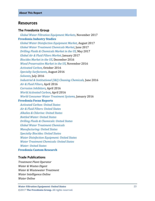### <span id="page-5-0"></span>**Resources**

#### **The Freedonia Group**

 *[Global Water Filtration Equipment Markets,](http://www.freedoniagroup.com/DocumentDetails.aspx?ReferrerId=FL-FOCUS&studyid=3568)* November 2017 **[Freedonia Industry Studies](http://www.freedoniagroup.com/Home.aspx?ReferrerId=FL-Focus)**  *[Global Water Disinfection Equipment Market](http://www.freedoniagroup.com/DocumentDetails.aspx?ReferrerId=FL-FOCUS&studyid=3563)*, August 2017  *[Global Water Treatment Chemicals Market,](http://www.freedoniagroup.com/DocumentDetails.aspx?ReferrerId=FL-FOCUS&studyid=3537)* June 2017  *[Drilling Fluids & Chemicals Market in the US,](http://www.freedoniagroup.com/DocumentDetails.aspx?ReferrerId=FL-FOCUS&studyid=3515)* May 2017  *[Global Air & Fluid Filters Market,](http://www.freedoniagroup.com/DocumentDetails.aspx?ReferrerId=FL-FOCUS&studyid=3443)* January 2017  *[Biocides Market in the US,](http://www.freedoniagroup.com/DocumentDetails.aspx?ReferrerId=FL-FOCUS&studyid=3457)* December 2016  *[Wood Preservative Market in the US,](http://www.freedoniagroup.com/DocumentDetails.aspx?ReferrerId=FL-FOCUS&studyid=3456)* November 2016  *[Activated Carbon,](http://www.freedoniagroup.com/DocumentDetails.aspx?ReferrerId=FL-FOCUS&studyid=3467)* October 2016  *[Specialty Surfactants,](http://www.freedoniagroup.com/DocumentDetails.aspx?ReferrerId=FL-FOCUS&studyid=3448)* August 2016  *[Solvents,](http://www.freedoniagroup.com/DocumentDetails.aspx?ReferrerId=FL-FOCUS&studyid=3429)* July 2016  *[Industrial & Institutional \(I&I\) Cleaning Chemicals,](http://www.freedoniagroup.com/DocumentDetails.aspx?ReferrerId=FL-FOCUS&studyid=3424)* June 2016  *[Air & Fluid Filters,](http://www.freedoniagroup.com/DocumentDetails.aspx?ReferrerId=FL-FOCUS&studyid=3379)* April 2016  *[Corrosion Inhibitors,](http://www.freedoniagroup.com/DocumentDetails.aspx?ReferrerId=FL-FOCUS&studyid=3409)* April 2016  *[World Activated Carbon,](http://www.freedoniagroup.com/DocumentDetails.aspx?ReferrerId=FL-FOCUS&studyid=3404)* April 2016  *[World Consumer Water](http://www.freedoniagroup.com/DocumentDetails.aspx?ReferrerId=FL-FOCUS&studyid=3360) Treatment Systems,* January 2016 **[Freedonia Focus Reports](https://www.freedoniafocusreports.com/redirect.asp?progid=89534&url=/)**

 *[Activated Carbon: United States](https://www.freedoniafocusreports.com/Activated-Carbon-United-States-FF35050/) [Air & Fluid Filters: United States](https://www.freedoniafocusreports.com/Air-Fluid-Filters-United-States-FF70012/) [Alkalies & Chlorine: United States](https://www.freedoniafocusreports.com/Alkalies-Chlorine-United-States-FF35010/) [Bottled Water: United States](https://www.freedoniafocusreports.com/Bottled-Water-United-States-FF10011/) [Drilling Fluids & Chemicals: United States](https://www.freedoniafocusreports.com/Drilling-Fluids-Chemicals-United-States-FF35112/) [Global Water Treatment Chemicals](https://www.freedoniafocusreports.com/Global-Water-Treatment-Chemicals-FW35039/) [Manufacturing: United States](https://www.freedoniafocusreports.com/Manufacturing-United-States-FF70032/) [Specialty Biocides: United States](https://www.freedoniafocusreports.com/Specialty-Biocides-United-States-FF35011/) [Water Disinfection Equipment: United States](https://www.freedoniafocusreports.com/Water-Disinfection-Equipment-United-States-FF35066/) [Water Treatment Chemicals: United States](https://www.freedoniafocusreports.com/Water-Treatment-Chemicals-United-States-FF35039/) [Water: United States](https://www.freedoniafocusreports.com/Water-United-States-FF95025/)*

#### **Freedonia [Custom Research](http://www.freedoniagroup.com/CustomResearch.aspx?ReferrerId=FL-Focus)**

#### **Trade Publications**

*Treatment Plant Operator Water & Wastes Digest Water & Wastewater Treatment Water Intelligence Online Water Online*